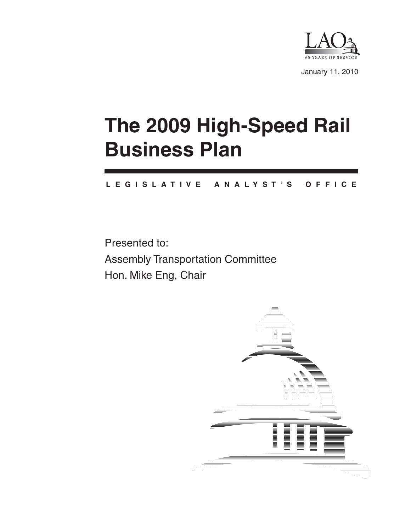

January 11, 2010

# **The 2009 High-Speed Rail Business Plan**

#### **L E G I S L A T I V E A N A L Y S T ' S O F F I C E**

Presented to: Assembly Transportation Committee Hon. Mike Eng, Chair

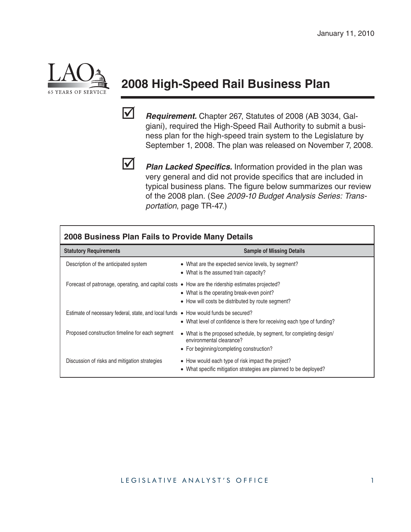

# **2008 High-Speed Rail Business Plan**

 *Requirement.* Chapter 267, Statutes of 2008 (AB 3034, Galgiani), required the High-Speed Rail Authority to submit a business plan for the high-speed train system to the Legislature by September 1, 2008. The plan was released on November 7, 2008.



*Plan Lacked Specifics.* Information provided in the plan was very general and did not provide specifics that are included in typical business plans. The figure below summarizes our review of the 2008 plan. (See *2009-10 Budget Analysis Series: Transportation*, page TR-47.)

| 2008 Business Plan Fails to Provide Many Details                                                         |                                                                                                                                             |  |
|----------------------------------------------------------------------------------------------------------|---------------------------------------------------------------------------------------------------------------------------------------------|--|
| <b>Statutory Requirements</b>                                                                            | <b>Sample of Missing Details</b>                                                                                                            |  |
| Description of the anticipated system                                                                    | • What are the expected service levels, by segment?<br>• What is the assumed train capacity?                                                |  |
| Forecast of patronage, operating, and capital costs $\bullet$ How are the ridership estimates projected? | • What is the operating break-even point?<br>• How will costs be distributed by route segment?                                              |  |
| Estimate of necessary federal, state, and local funds • How would funds be secured?                      | • What level of confidence is there for receiving each type of funding?                                                                     |  |
| Proposed construction timeline for each segment                                                          | • What is the proposed schedule, by segment, for completing design/<br>environmental clearance?<br>• For beginning/completing construction? |  |
| Discussion of risks and mitigation strategies                                                            | • How would each type of risk impact the project?<br>• What specific mitigation strategies are planned to be deployed?                      |  |

#### LEGISLATIVE ANALYST'S OFFICE 1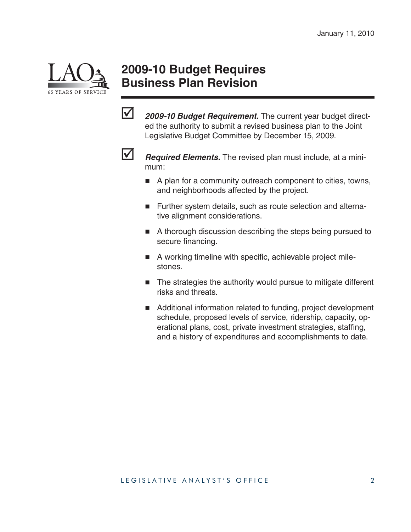

### **2009-10 Budget Requires Business Plan Revision**

**2009-10 Budget Requirement.** The current year budget directed the authority to submit a revised business plan to the Joint Legislative Budget Committee by December 15, 2009.



**1 Required Elements.** The revised plan must include, at a minimum:

- A plan for a community outreach component to cities, towns, and neighborhoods affected by the project.
- **Further system details, such as route selection and alterna**tive alignment considerations.
- A thorough discussion describing the steps being pursued to secure financing.
- A working timeline with specific, achievable project milestones.
- The strategies the authority would pursue to mitigate different risks and threats.
- Additional information related to funding, project development schedule, proposed levels of service, ridership, capacity, operational plans, cost, private investment strategies, staffing, and a history of expenditures and accomplishments to date.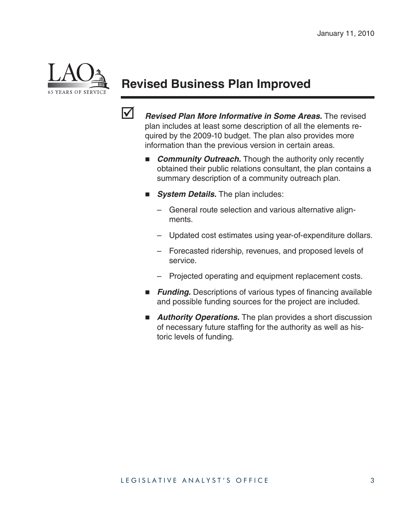

## **Revised Business Plan Improved**



 *Revised Plan More Informative in Some Areas.* The revised plan includes at least some description of all the elements required by the 2009-10 budget. The plan also provides more information than the previous version in certain areas.

- **Community Outreach.** Though the authority only recently obtained their public relations consultant, the plan contains a summary description of a community outreach plan.
- **B** System Details. The plan includes:
	- General route selection and various alternative alignments.
	- Updated cost estimates using year-of-expenditure dollars.
	- Forecasted ridership, revenues, and proposed levels of service.
	- Projected operating and equipment replacement costs.
- **Funding.** Descriptions of various types of financing available and possible funding sources for the project are included.
- **Authority Operations.** The plan provides a short discussion of necessary future staffing for the authority as well as historic levels of funding.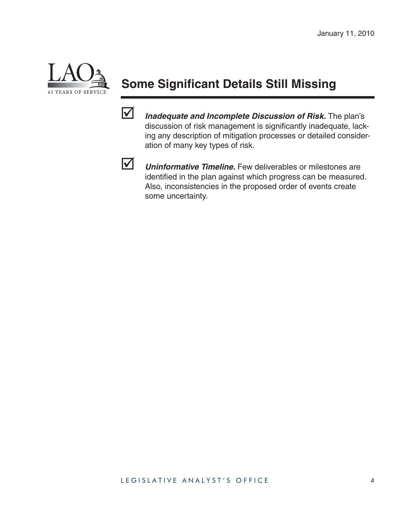

# **Some Significant Details Still Missing**

 *Inadequate and Incomplete Discussion of Risk.* The plan's discussion of risk management is significantly inadequate, lacking any description of mitigation processes or detailed consideration of many key types of risk.



 *Uninformative Timeline.* Few deliverables or milestones are identified in the plan against which progress can be measured. Also, inconsistencies in the proposed order of events create some uncertainty.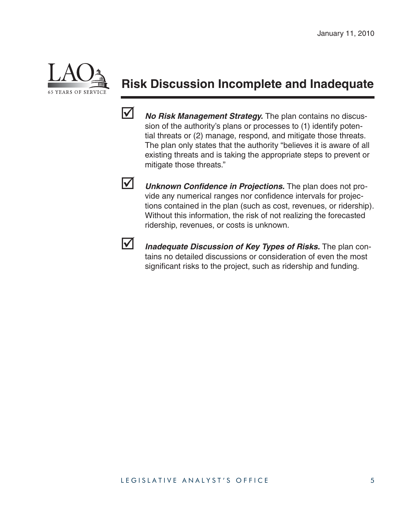

### **Risk Discussion Incomplete and Inadequate**



 *No Risk Management Strategy.* The plan contains no discussion of the authority's plans or processes to (1) identify potential threats or (2) manage, respond, and mitigate those threats. The plan only states that the authority "believes it is aware of all existing threats and is taking the appropriate steps to prevent or mitigate those threats."



**V** *Unknown Confidence in Projections.* The plan does not provide any numerical ranges nor confidence intervals for projections contained in the plan (such as cost, revenues, or ridership). Without this information, the risk of not realizing the forecasted ridership, revenues, or costs is unknown.



 *Inadequate Discussion of Key Types of Risks.* The plan contains no detailed discussions or consideration of even the most significant risks to the project, such as ridership and funding.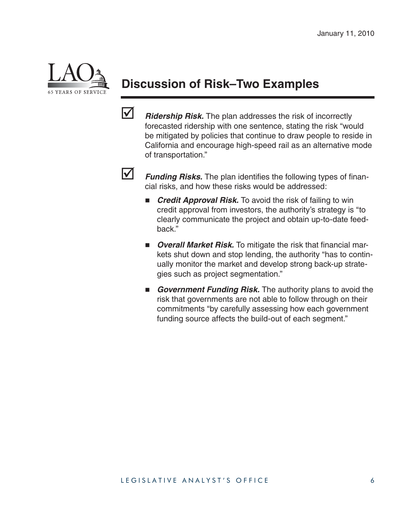

# **Discussion of Risk–Two Examples**

*Ridership Risk.* The plan addresses the risk of incorrectly forecasted ridership with one sentence, stating the risk "would be mitigated by policies that continue to draw people to reside in California and encourage high-speed rail as an alternative mode of transportation."



**Funding Risks.** The plan identifies the following types of financial risks, and how these risks would be addressed:

- **F** Credit Approval Risk. To avoid the risk of failing to win credit approval from investors, the authority's strategy is "to clearly communicate the project and obtain up-to-date feedback."
- **Diamage 1 Diama Propel is a Tana Propel and The Price of The Propel and Propel and Price of Price 10 Propel and Pri** kets shut down and stop lending, the authority "has to continually monitor the market and develop strong back-up strategies such as project segmentation."
- **Government Funding Risk.** The authority plans to avoid the risk that governments are not able to follow through on their commitments "by carefully assessing how each government funding source affects the build-out of each segment."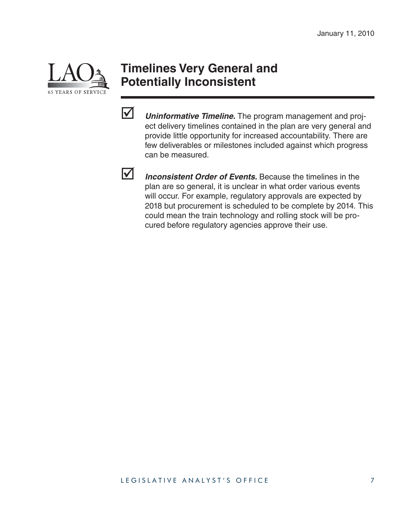

#### **Timelines Very General and Potentially Inconsistent**



 *Uninformative Timeline.* The program management and project delivery timelines contained in the plan are very general and provide little opportunity for increased accountability. There are few deliverables or milestones included against which progress can be measured.



 *Inconsistent Order of Events.* Because the timelines in the plan are so general, it is unclear in what order various events will occur. For example, regulatory approvals are expected by 2018 but procurement is scheduled to be complete by 2014. This could mean the train technology and rolling stock will be procured before regulatory agencies approve their use.